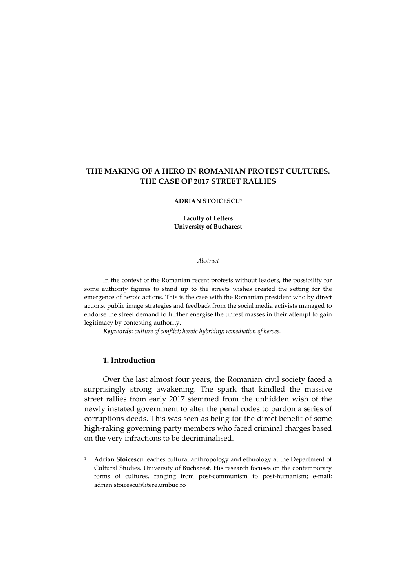# **THE MAKING OF A HERO IN ROMANIAN PROTEST CULTURES. THE CASE OF 2017 STREET RALLIES**

#### **ADRIAN STOICESCU<sup>1</sup>**

**Faculty of Letters University of Bucharest** 

*Abstract* 

In the context of the Romanian recent protests without leaders, the possibility for some authority figures to stand up to the streets wishes created the setting for the emergence of heroic actions. This is the case with the Romanian president who by direct actions, public image strategies and feedback from the social media activists managed to endorse the street demand to further energise the unrest masses in their attempt to gain legitimacy by contesting authority.

*Keywords*: *culture of conflict; heroic hybridity; remediation of heroes.*

## **1. Introduction**

 $\overline{a}$ 

Over the last almost four years, the Romanian civil society faced a surprisingly strong awakening. The spark that kindled the massive street rallies from early 2017 stemmed from the unhidden wish of the newly instated government to alter the penal codes to pardon a series of corruptions deeds. This was seen as being for the direct benefit of some high-raking governing party members who faced criminal charges based on the very infractions to be decriminalised.

<sup>&</sup>lt;sup>1</sup> **Adrian Stoicescu** teaches cultural anthropology and ethnology at the Department of Cultural Studies, University of Bucharest. His research focuses on the contemporary forms of cultures, ranging from post-communism to post-humanism; e-mail: adrian.stoicescu@litere.unibuc.ro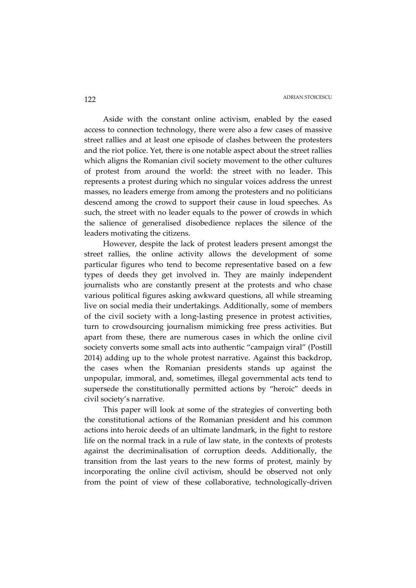Aside with the constant online activism, enabled by the eased access to connection technology, there were also a few cases of massive street rallies and at least one episode of clashes between the protesters and the riot police. Yet, there is one notable aspect about the street rallies which aligns the Romanian civil society movement to the other cultures of protest from around the world: the street with no leader. This represents a protest during which no singular voices address the unrest masses, no leaders emerge from among the protesters and no politicians descend among the crowd to support their cause in loud speeches. As such, the street with no leader equals to the power of crowds in which the salience of generalised disobedience replaces the silence of the leaders motivating the citizens.

However, despite the lack of protest leaders present amongst the street rallies, the online activity allows the development of some particular figures who tend to become representative based on a few types of deeds they get involved in. They are mainly independent journalists who are constantly present at the protests and who chase various political figures asking awkward questions, all while streaming live on social media their undertakings. Additionally, some of members of the civil society with a long-lasting presence in protest activities, turn to crowdsourcing journalism mimicking free press activities. But apart from these, there are numerous cases in which the online civil society converts some small acts into authentic "campaign viral" (Postill 2014) adding up to the whole protest narrative. Against this backdrop, the cases when the Romanian presidents stands up against the unpopular, immoral, and, sometimes, illegal governmental acts tend to supersede the constitutionally permitted actions by "heroic" deeds in civil society's narrative.

This paper will look at some of the strategies of converting both the constitutional actions of the Romanian president and his common actions into heroic deeds of an ultimate landmark, in the fight to restore life on the normal track in a rule of law state, in the contexts of protests against the decriminalisation of corruption deeds. Additionally, the transition from the last years to the new forms of protest, mainly by incorporating the online civil activism, should be observed not only from the point of view of these collaborative, technologically-driven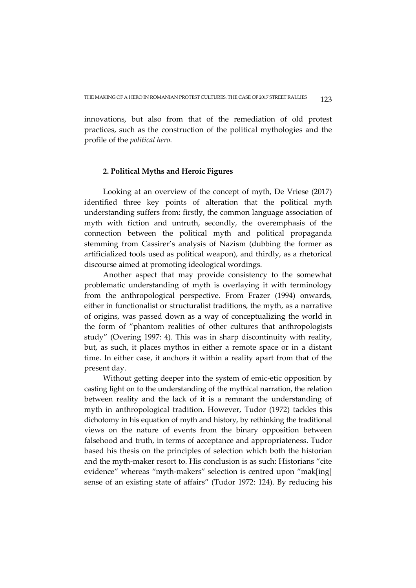innovations, but also from that of the remediation of old protest practices, such as the construction of the political mythologies and the profile of the *political hero*.

# **2. Political Myths and Heroic Figures**

Looking at an overview of the concept of myth, De Vriese (2017) identified three key points of alteration that the political myth understanding suffers from: firstly, the common language association of myth with fiction and untruth, secondly, the overemphasis of the connection between the political myth and political propaganda stemming from Cassirer's analysis of Nazism (dubbing the former as artificialized tools used as political weapon), and thirdly, as a rhetorical discourse aimed at promoting ideological wordings.

Another aspect that may provide consistency to the somewhat problematic understanding of myth is overlaying it with terminology from the anthropological perspective. From Frazer (1994) onwards, either in functionalist or structuralist traditions, the myth, as a narrative of origins, was passed down as a way of conceptualizing the world in the form of "phantom realities of other cultures that anthropologists study" (Overing 1997: 4). This was in sharp discontinuity with reality, but, as such, it places mythos in either a remote space or in a distant time. In either case, it anchors it within a reality apart from that of the present day.

Without getting deeper into the system of emic-etic opposition by casting light on to the understanding of the mythical narration, the relation between reality and the lack of it is a remnant the understanding of myth in anthropological tradition. However, Tudor (1972) tackles this dichotomy in his equation of myth and history, by rethinking the traditional views on the nature of events from the binary opposition between falsehood and truth, in terms of acceptance and appropriateness. Tudor based his thesis on the principles of selection which both the historian and the myth-maker resort to. His conclusion is as such: Historians "cite evidence" whereas "myth-makers" selection is centred upon "mak[ing] sense of an existing state of affairs" (Tudor 1972: 124). By reducing his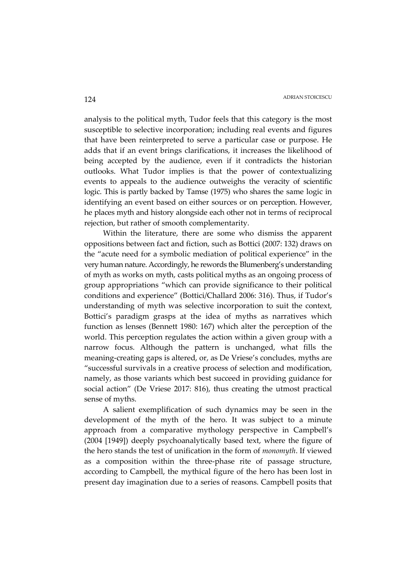analysis to the political myth, Tudor feels that this category is the most susceptible to selective incorporation; including real events and figures that have been reinterpreted to serve a particular case or purpose. He adds that if an event brings clarifications, it increases the likelihood of being accepted by the audience, even if it contradicts the historian outlooks. What Tudor implies is that the power of contextualizing events to appeals to the audience outweighs the veracity of scientific logic. This is partly backed by Tamse (1975) who shares the same logic in identifying an event based on either sources or on perception. However, he places myth and history alongside each other not in terms of reciprocal rejection, but rather of smooth complementarity.

Within the literature, there are some who dismiss the apparent oppositions between fact and fiction, such as Bottici (2007: 132) draws on the "acute need for a symbolic mediation of political experience" in the very human nature. Accordingly, he rewords the Blumenberg's understanding of myth as works on myth, casts political myths as an ongoing process of group appropriations "which can provide significance to their political conditions and experience" (Bottici/Challard 2006: 316). Thus, if Tudor's understanding of myth was selective incorporation to suit the context, Bottici's paradigm grasps at the idea of myths as narratives which function as lenses (Bennett 1980: 167) which alter the perception of the world. This perception regulates the action within a given group with a narrow focus. Although the pattern is unchanged, what fills the meaning-creating gaps is altered, or, as De Vriese's concludes, myths are "successful survivals in a creative process of selection and modification, namely, as those variants which best succeed in providing guidance for social action" (De Vriese 2017: 816), thus creating the utmost practical sense of myths.

A salient exemplification of such dynamics may be seen in the development of the myth of the hero. It was subject to a minute approach from a comparative mythology perspective in Campbell's (2004 [1949]) deeply psychoanalytically based text, where the figure of the hero stands the test of unification in the form of *monomyth*. If viewed as a composition within the three-phase rite of passage structure, according to Campbell, the mythical figure of the hero has been lost in present day imagination due to a series of reasons. Campbell posits that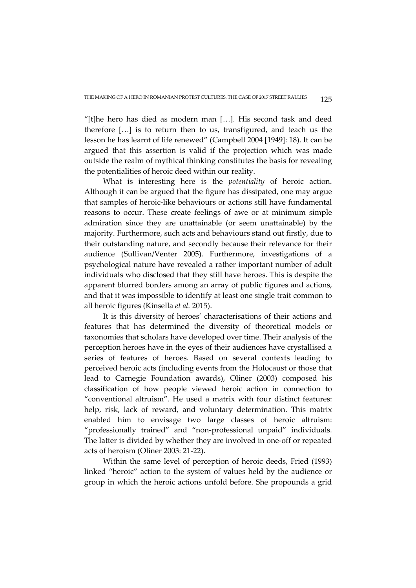"[t]he hero has died as modern man […]. His second task and deed therefore […] is to return then to us, transfigured, and teach us the lesson he has learnt of life renewed" (Campbell 2004 [1949]: 18). It can be argued that this assertion is valid if the projection which was made outside the realm of mythical thinking constitutes the basis for revealing the potentialities of heroic deed within our reality.

What is interesting here is the *potentiality* of heroic action. Although it can be argued that the figure has dissipated, one may argue that samples of heroic-like behaviours or actions still have fundamental reasons to occur. These create feelings of awe or at minimum simple admiration since they are unattainable (or seem unattainable) by the majority. Furthermore, such acts and behaviours stand out firstly, due to their outstanding nature, and secondly because their relevance for their audience (Sullivan/Venter 2005). Furthermore, investigations of a psychological nature have revealed a rather important number of adult individuals who disclosed that they still have heroes. This is despite the apparent blurred borders among an array of public figures and actions, and that it was impossible to identify at least one single trait common to all heroic figures (Kinsella *et al.* 2015).

It is this diversity of heroes' characterisations of their actions and features that has determined the diversity of theoretical models or taxonomies that scholars have developed over time. Their analysis of the perception heroes have in the eyes of their audiences have crystallised a series of features of heroes. Based on several contexts leading to perceived heroic acts (including events from the Holocaust or those that lead to Carnegie Foundation awards), Oliner (2003) composed his classification of how people viewed heroic action in connection to "conventional altruism". He used a matrix with four distinct features: help, risk, lack of reward, and voluntary determination. This matrix enabled him to envisage two large classes of heroic altruism: "professionally trained" and "non-professional unpaid" individuals. The latter is divided by whether they are involved in one-off or repeated acts of heroism (Oliner 2003: 21-22).

Within the same level of perception of heroic deeds, Fried (1993) linked "heroic" action to the system of values held by the audience or group in which the heroic actions unfold before. She propounds a grid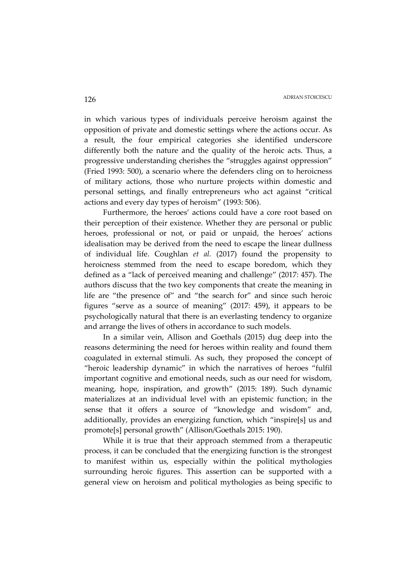in which various types of individuals perceive heroism against the opposition of private and domestic settings where the actions occur. As a result, the four empirical categories she identified underscore differently both the nature and the quality of the heroic acts. Thus, a progressive understanding cherishes the "struggles against oppression" (Fried 1993: 500), a scenario where the defenders cling on to heroicness of military actions, those who nurture projects within domestic and personal settings, and finally entrepreneurs who act against "critical actions and every day types of heroism" (1993: 506).

Furthermore, the heroes' actions could have a core root based on their perception of their existence. Whether they are personal or public heroes, professional or not, or paid or unpaid, the heroes' actions idealisation may be derived from the need to escape the linear dullness of individual life. Coughlan *et al.* (2017) found the propensity to heroicness stemmed from the need to escape boredom, which they defined as a "lack of perceived meaning and challenge" (2017: 457). The authors discuss that the two key components that create the meaning in life are "the presence of" and "the search for" and since such heroic figures "serve as a source of meaning" (2017: 459), it appears to be psychologically natural that there is an everlasting tendency to organize and arrange the lives of others in accordance to such models.

In a similar vein, Allison and Goethals (2015) dug deep into the reasons determining the need for heroes within reality and found them coagulated in external stimuli. As such, they proposed the concept of "heroic leadership dynamic" in which the narratives of heroes "fulfil important cognitive and emotional needs, such as our need for wisdom, meaning, hope, inspiration, and growth" (2015: 189). Such dynamic materializes at an individual level with an epistemic function; in the sense that it offers a source of "knowledge and wisdom" and, additionally, provides an energizing function, which "inspire[s] us and promote[s] personal growth" (Allison/Goethals 2015: 190).

While it is true that their approach stemmed from a therapeutic process, it can be concluded that the energizing function is the strongest to manifest within us, especially within the political mythologies surrounding heroic figures. This assertion can be supported with a general view on heroism and political mythologies as being specific to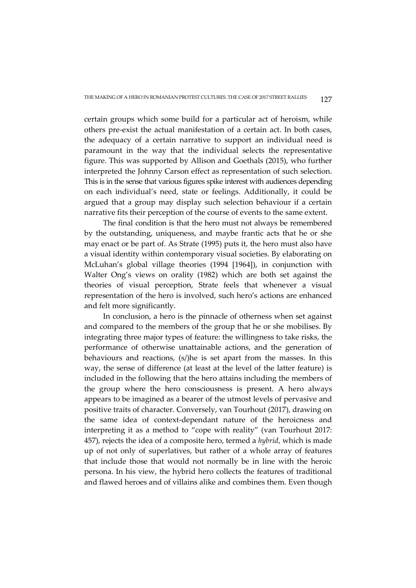certain groups which some build for a particular act of heroism, while others pre-exist the actual manifestation of a certain act. In both cases, the adequacy of a certain narrative to support an individual need is paramount in the way that the individual selects the representative figure. This was supported by Allison and Goethals (2015), who further interpreted the Johnny Carson effect as representation of such selection. This is in the sense that various figures spike interest with audiences depending on each individual's need, state or feelings. Additionally, it could be argued that a group may display such selection behaviour if a certain narrative fits their perception of the course of events to the same extent.

The final condition is that the hero must not always be remembered by the outstanding, uniqueness, and maybe frantic acts that he or she may enact or be part of. As Strate (1995) puts it, the hero must also have a visual identity within contemporary visual societies. By elaborating on McLuhan's global village theories (1994 [1964]), in conjunction with Walter Ong's views on orality (1982) which are both set against the theories of visual perception, Strate feels that whenever a visual representation of the hero is involved, such hero's actions are enhanced and felt more significantly.

In conclusion, a hero is the pinnacle of otherness when set against and compared to the members of the group that he or she mobilises. By integrating three major types of feature: the willingness to take risks, the performance of otherwise unattainable actions, and the generation of behaviours and reactions, (s/)he is set apart from the masses. In this way, the sense of difference (at least at the level of the latter feature) is included in the following that the hero attains including the members of the group where the hero consciousness is present. A hero always appears to be imagined as a bearer of the utmost levels of pervasive and positive traits of character. Conversely, van Tourhout (2017), drawing on the same idea of context-dependant nature of the heroicness and interpreting it as a method to "cope with reality" (van Tourhout 2017: 457), rejects the idea of a composite hero, termed a *hybrid*, which is made up of not only of superlatives, but rather of a whole array of features that include those that would not normally be in line with the heroic persona. In his view, the hybrid hero collects the features of traditional and flawed heroes and of villains alike and combines them. Even though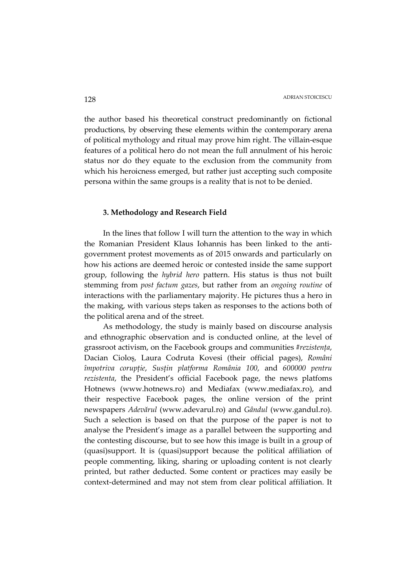the author based his theoretical construct predominantly on fictional productions, by observing these elements within the contemporary arena of political mythology and ritual may prove him right. The villain-esque features of a political hero do not mean the full annulment of his heroic status nor do they equate to the exclusion from the community from which his heroicness emerged, but rather just accepting such composite persona within the same groups is a reality that is not to be denied.

# **3. Methodology and Research Field**

In the lines that follow I will turn the attention to the way in which the Romanian President Klaus Iohannis has been linked to the antigovernment protest movements as of 2015 onwards and particularly on how his actions are deemed heroic or contested inside the same support group, following the *hybrid hero* pattern. His status is thus not built stemming from *post factum gazes*, but rather from an *ongoing routine* of interactions with the parliamentary majority. He pictures thus a hero in the making, with various steps taken as responses to the actions both of the political arena and of the street.

As methodology, the study is mainly based on discourse analysis and ethnographic observation and is conducted online, at the level of grassroot activism, on the Facebook groups and communities *#rezistența*, Dacian Cioloș, Laura Codruta Kovesi (their official pages), *Români împotriva corupție*, *Susțin platforma România 100*, and *600000 pentru rezistenta*, the President's official Facebook page, the news platfoms Hotnews (www.hotnews.ro) and Mediafax (www.mediafax.ro), and their respective Facebook pages, the online version of the print newspapers *Adevărul* (www.adevarul.ro) and *Gândul* (www.gandul.ro). Such a selection is based on that the purpose of the paper is not to analyse the President's image as a parallel between the supporting and the contesting discourse, but to see how this image is built in a group of (quasi)support. It is (quasi)support because the political affiliation of people commenting, liking, sharing or uploading content is not clearly printed, but rather deducted. Some content or practices may easily be context-determined and may not stem from clear political affiliation. It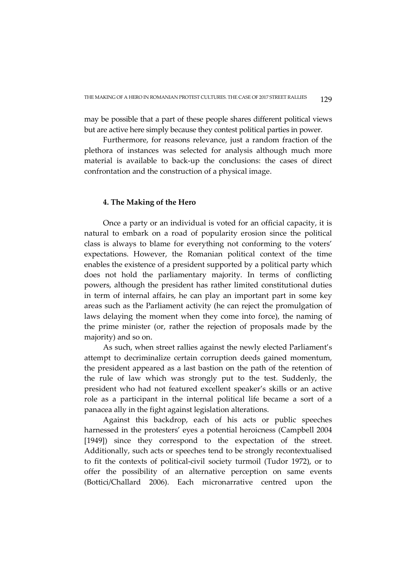may be possible that a part of these people shares different political views but are active here simply because they contest political parties in power.

Furthermore, for reasons relevance, just a random fraction of the plethora of instances was selected for analysis although much more material is available to back-up the conclusions: the cases of direct confrontation and the construction of a physical image.

## **4. The Making of the Hero**

Once a party or an individual is voted for an official capacity, it is natural to embark on a road of popularity erosion since the political class is always to blame for everything not conforming to the voters' expectations. However, the Romanian political context of the time enables the existence of a president supported by a political party which does not hold the parliamentary majority. In terms of conflicting powers, although the president has rather limited constitutional duties in term of internal affairs, he can play an important part in some key areas such as the Parliament activity (he can reject the promulgation of laws delaying the moment when they come into force), the naming of the prime minister (or, rather the rejection of proposals made by the majority) and so on.

As such, when street rallies against the newly elected Parliament's attempt to decriminalize certain corruption deeds gained momentum, the president appeared as a last bastion on the path of the retention of the rule of law which was strongly put to the test. Suddenly, the president who had not featured excellent speaker's skills or an active role as a participant in the internal political life became a sort of a panacea ally in the fight against legislation alterations.

Against this backdrop, each of his acts or public speeches harnessed in the protesters' eyes a potential heroicness (Campbell 2004 [1949]) since they correspond to the expectation of the street. Additionally, such acts or speeches tend to be strongly recontextualised to fit the contexts of political-civil society turmoil (Tudor 1972), or to offer the possibility of an alternative perception on same events (Bottici/Challard 2006). Each micronarrative centred upon the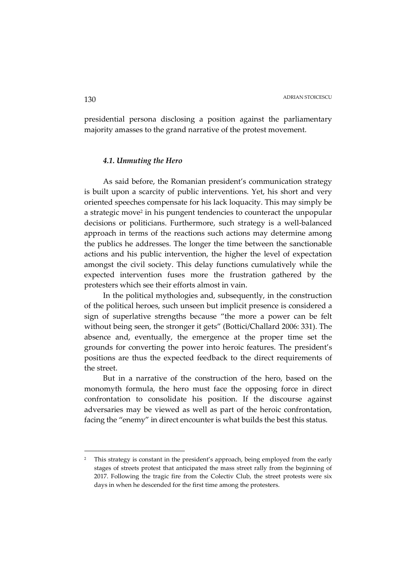presidential persona disclosing a position against the parliamentary majority amasses to the grand narrative of the protest movement.

### *4.1. Unmuting the Hero*

As said before, the Romanian president's communication strategy is built upon a scarcity of public interventions. Yet, his short and very oriented speeches compensate for his lack loquacity. This may simply be a strategic move<sup>2</sup> in his pungent tendencies to counteract the unpopular decisions or politicians. Furthermore, such strategy is a well-balanced approach in terms of the reactions such actions may determine among the publics he addresses. The longer the time between the sanctionable actions and his public intervention, the higher the level of expectation amongst the civil society. This delay functions cumulatively while the expected intervention fuses more the frustration gathered by the protesters which see their efforts almost in vain.

In the political mythologies and, subsequently, in the construction of the political heroes, such unseen but implicit presence is considered a sign of superlative strengths because "the more a power can be felt without being seen, the stronger it gets" (Bottici/Challard 2006: 331). The absence and, eventually, the emergence at the proper time set the grounds for converting the power into heroic features. The president's positions are thus the expected feedback to the direct requirements of the street.

But in a narrative of the construction of the hero, based on the monomyth formula, the hero must face the opposing force in direct confrontation to consolidate his position. If the discourse against adversaries may be viewed as well as part of the heroic confrontation, facing the "enemy" in direct encounter is what builds the best this status.

<sup>&</sup>lt;sup>2</sup> This strategy is constant in the president's approach, being employed from the early stages of streets protest that anticipated the mass street rally from the beginning of 2017. Following the tragic fire from the Colectiv Club, the street protests were six days in when he descended for the first time among the protesters.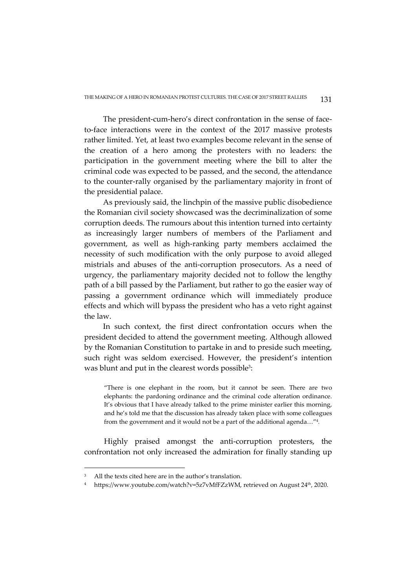The president-cum-hero's direct confrontation in the sense of faceto-face interactions were in the context of the 2017 massive protests rather limited. Yet, at least two examples become relevant in the sense of the creation of a hero among the protesters with no leaders: the participation in the government meeting where the bill to alter the criminal code was expected to be passed, and the second, the attendance to the counter-rally organised by the parliamentary majority in front of the presidential palace.

As previously said, the linchpin of the massive public disobedience the Romanian civil society showcased was the decriminalization of some corruption deeds. The rumours about this intention turned into certainty as increasingly larger numbers of members of the Parliament and government, as well as high-ranking party members acclaimed the necessity of such modification with the only purpose to avoid alleged mistrials and abuses of the anti-corruption prosecutors. As a need of urgency, the parliamentary majority decided not to follow the lengthy path of a bill passed by the Parliament, but rather to go the easier way of passing a government ordinance which will immediately produce effects and which will bypass the president who has a veto right against the law.

In such context, the first direct confrontation occurs when the president decided to attend the government meeting. Although allowed by the Romanian Constitution to partake in and to preside such meeting, such right was seldom exercised. However, the president's intention was blunt and put in the clearest words possible<sup>3</sup>:

"There is one elephant in the room, but it cannot be seen. There are two elephants: the pardoning ordinance and the criminal code alteration ordinance. It's obvious that I have already talked to the prime minister earlier this morning, and he's told me that the discussion has already taken place with some colleagues from the government and it would not be a part of the additional agenda…"<sup>4</sup> *.* 

Highly praised amongst the anti-corruption protesters, the confrontation not only increased the admiration for finally standing up

<sup>3</sup> All the texts cited here are in the author's translation.

<sup>4</sup> https://www.youtube.com/watch?v=5z7vMfFZzWM, retrieved on August 24th, 2020.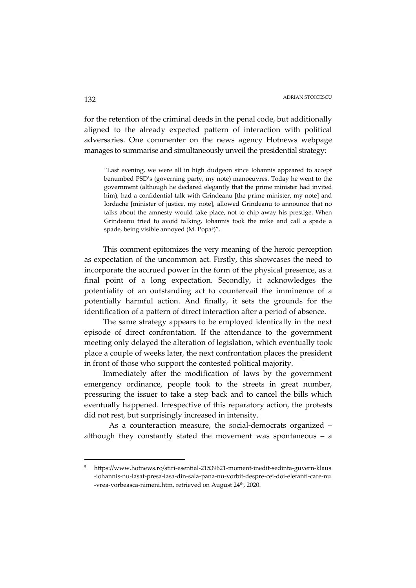for the retention of the criminal deeds in the penal code, but additionally aligned to the already expected pattern of interaction with political adversaries. One commenter on the news agency Hotnews webpage manages to summarise and simultaneously unveil the presidential strategy:

"Last evening, we were all in high dudgeon since Iohannis appeared to accept benumbed PSD's (governing party, my note) manoeuvres. Today he went to the government (although he declared elegantly that the prime minister had invited him), had a confidential talk with Grindeanu [the prime minister, my note] and Iordache [minister of justice, my note], allowed Grindeanu to announce that no talks about the amnesty would take place, not to chip away his prestige. When Grindeanu tried to avoid talking, Iohannis took the mike and call a spade a spade, being visible annoyed (M. Popa<sup>5</sup>)".

This comment epitomizes the very meaning of the heroic perception as expectation of the uncommon act. Firstly, this showcases the need to incorporate the accrued power in the form of the physical presence, as a final point of a long expectation. Secondly, it acknowledges the potentiality of an outstanding act to countervail the imminence of a potentially harmful action. And finally, it sets the grounds for the identification of a pattern of direct interaction after a period of absence.

The same strategy appears to be employed identically in the next episode of direct confrontation. If the attendance to the government meeting only delayed the alteration of legislation, which eventually took place a couple of weeks later, the next confrontation places the president in front of those who support the contested political majority.

Immediately after the modification of laws by the government emergency ordinance, people took to the streets in great number, pressuring the issuer to take a step back and to cancel the bills which eventually happened. Irrespective of this reparatory action, the protests did not rest, but surprisingly increased in intensity.

 As a counteraction measure, the social-democrats organized – although they constantly stated the movement was spontaneous – a

<sup>5</sup> https://www.hotnews.ro/stiri-esential-21539621-moment-inedit-sedinta-guvern-klaus -iohannis-nu-lasat-presa-iasa-din-sala-pana-nu-vorbit-despre-cei-doi-elefanti-care-nu -vrea-vorbeasca-nimeni.htm, retrieved on August 24<sup>th</sup>, 2020.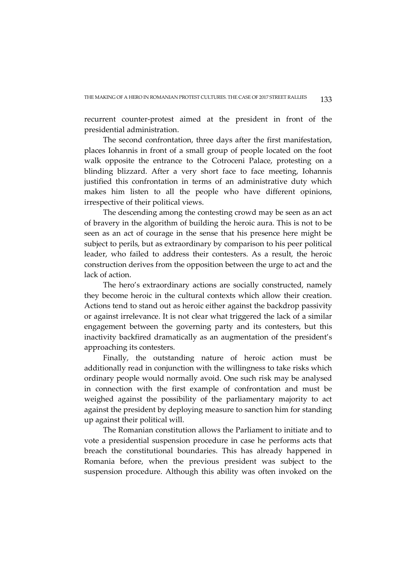recurrent counter-protest aimed at the president in front of the presidential administration.

The second confrontation, three days after the first manifestation, places Iohannis in front of a small group of people located on the foot walk opposite the entrance to the Cotroceni Palace, protesting on a blinding blizzard. After a very short face to face meeting, Iohannis justified this confrontation in terms of an administrative duty which makes him listen to all the people who have different opinions, irrespective of their political views.

The descending among the contesting crowd may be seen as an act of bravery in the algorithm of building the heroic aura. This is not to be seen as an act of courage in the sense that his presence here might be subject to perils, but as extraordinary by comparison to his peer political leader, who failed to address their contesters. As a result, the heroic construction derives from the opposition between the urge to act and the lack of action.

The hero's extraordinary actions are socially constructed, namely they become heroic in the cultural contexts which allow their creation. Actions tend to stand out as heroic either against the backdrop passivity or against irrelevance. It is not clear what triggered the lack of a similar engagement between the governing party and its contesters, but this inactivity backfired dramatically as an augmentation of the president's approaching its contesters.

Finally, the outstanding nature of heroic action must be additionally read in conjunction with the willingness to take risks which ordinary people would normally avoid. One such risk may be analysed in connection with the first example of confrontation and must be weighed against the possibility of the parliamentary majority to act against the president by deploying measure to sanction him for standing up against their political will.

The Romanian constitution allows the Parliament to initiate and to vote a presidential suspension procedure in case he performs acts that breach the constitutional boundaries. This has already happened in Romania before, when the previous president was subject to the suspension procedure. Although this ability was often invoked on the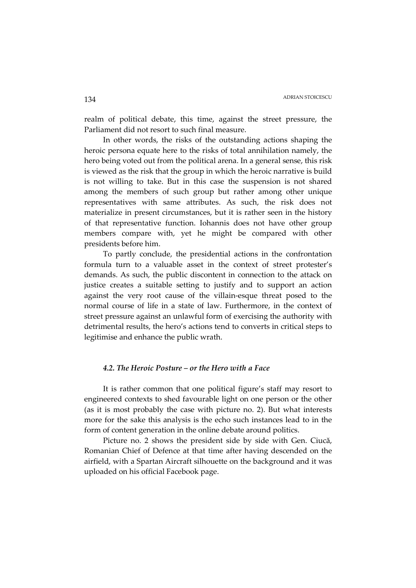realm of political debate, this time, against the street pressure, the Parliament did not resort to such final measure.

In other words, the risks of the outstanding actions shaping the heroic persona equate here to the risks of total annihilation namely, the hero being voted out from the political arena. In a general sense, this risk is viewed as the risk that the group in which the heroic narrative is build is not willing to take. But in this case the suspension is not shared among the members of such group but rather among other unique representatives with same attributes. As such, the risk does not materialize in present circumstances, but it is rather seen in the history of that representative function. Iohannis does not have other group members compare with, yet he might be compared with other presidents before him.

To partly conclude, the presidential actions in the confrontation formula turn to a valuable asset in the context of street protester's demands. As such, the public discontent in connection to the attack on justice creates a suitable setting to justify and to support an action against the very root cause of the villain-esque threat posed to the normal course of life in a state of law. Furthermore, in the context of street pressure against an unlawful form of exercising the authority with detrimental results, the hero's actions tend to converts in critical steps to legitimise and enhance the public wrath.

### *4.2. The Heroic Posture – or the Hero with a Face*

It is rather common that one political figure's staff may resort to engineered contexts to shed favourable light on one person or the other (as it is most probably the case with picture no. 2). But what interests more for the sake this analysis is the echo such instances lead to in the form of content generation in the online debate around politics.

Picture no. 2 shows the president side by side with Gen. Ciucă, Romanian Chief of Defence at that time after having descended on the airfield, with a Spartan Aircraft silhouette on the background and it was uploaded on his official Facebook page.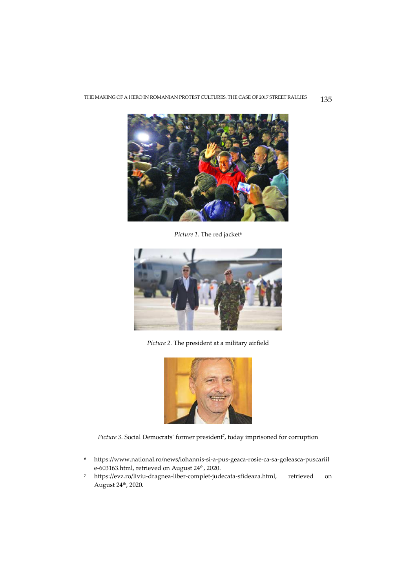

Picture 1. The red jacket<sup>6</sup>



*Picture 2.* The president at a military airfield



Picture 3. Social Democrats' former president<sup>7</sup>, today imprisoned for corruption

<sup>6</sup> https://www.national.ro/news/iohannis-si-a-pus-geaca-rosie-ca-sa-goleasca-puscariil e-603163.html, retrieved on August 24<sup>th</sup>, 2020.

<sup>7</sup> https://evz.ro/liviu-dragnea-liber-complet-judecata-sfideaza.html, retrieved on August 24th, 2020.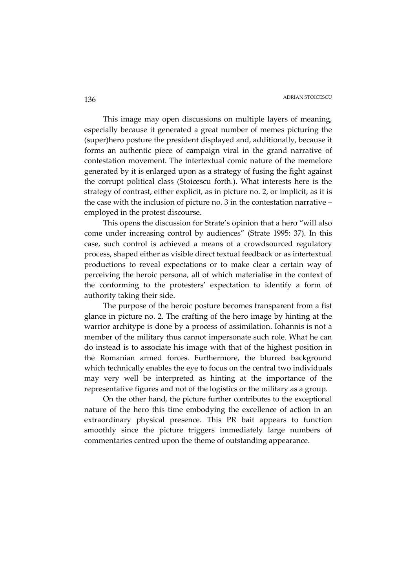This image may open discussions on multiple layers of meaning, especially because it generated a great number of memes picturing the (super)hero posture the president displayed and, additionally, because it forms an authentic piece of campaign viral in the grand narrative of contestation movement. The intertextual comic nature of the memelore generated by it is enlarged upon as a strategy of fusing the fight against the corrupt political class (Stoicescu forth.). What interests here is the strategy of contrast, either explicit, as in picture no. 2, or implicit, as it is the case with the inclusion of picture no. 3 in the contestation narrative – employed in the protest discourse.

This opens the discussion for Strate's opinion that a hero "will also come under increasing control by audiences" (Strate 1995: 37). In this case, such control is achieved a means of a crowdsourced regulatory process, shaped either as visible direct textual feedback or as intertextual productions to reveal expectations or to make clear a certain way of perceiving the heroic persona, all of which materialise in the context of the conforming to the protesters' expectation to identify a form of authority taking their side.

The purpose of the heroic posture becomes transparent from a fist glance in picture no. 2. The crafting of the hero image by hinting at the warrior architype is done by a process of assimilation. Iohannis is not a member of the military thus cannot impersonate such role. What he can do instead is to associate his image with that of the highest position in the Romanian armed forces. Furthermore, the blurred background which technically enables the eye to focus on the central two individuals may very well be interpreted as hinting at the importance of the representative figures and not of the logistics or the military as a group.

On the other hand, the picture further contributes to the exceptional nature of the hero this time embodying the excellence of action in an extraordinary physical presence. This PR bait appears to function smoothly since the picture triggers immediately large numbers of commentaries centred upon the theme of outstanding appearance.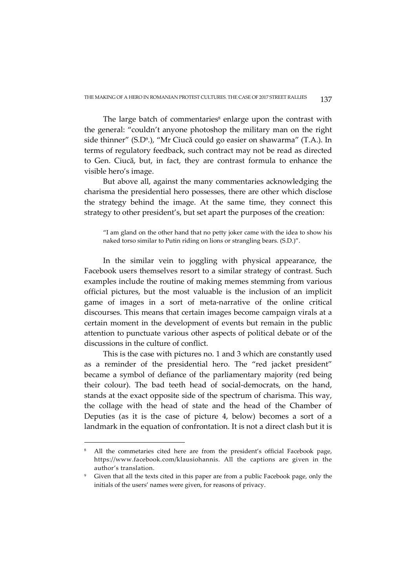The large batch of commentaries<sup>8</sup> enlarge upon the contrast with the general: "couldn't anyone photoshop the military man on the right side thinner" (S.D<sup>9</sup> .), "Mr Ciucă could go easier on shawarma" (T.A.). In terms of regulatory feedback, such contract may not be read as directed to Gen. Ciucă, but, in fact, they are contrast formula to enhance the visible hero's image.

But above all, against the many commentaries acknowledging the charisma the presidential hero possesses, there are other which disclose the strategy behind the image. At the same time, they connect this strategy to other president's, but set apart the purposes of the creation:

"I am gland on the other hand that no petty joker came with the idea to show his naked torso similar to Putin riding on lions or strangling bears. (S.D.)".

In the similar vein to joggling with physical appearance, the Facebook users themselves resort to a similar strategy of contrast. Such examples include the routine of making memes stemming from various official pictures, but the most valuable is the inclusion of an implicit game of images in a sort of meta-narrative of the online critical discourses. This means that certain images become campaign virals at a certain moment in the development of events but remain in the public attention to punctuate various other aspects of political debate or of the discussions in the culture of conflict.

This is the case with pictures no. 1 and 3 which are constantly used as a reminder of the presidential hero. The "red jacket president" became a symbol of defiance of the parliamentary majority (red being their colour). The bad teeth head of social-democrats, on the hand, stands at the exact opposite side of the spectrum of charisma. This way, the collage with the head of state and the head of the Chamber of Deputies (as it is the case of picture 4, below) becomes a sort of a landmark in the equation of confrontation. It is not a direct clash but it is

<sup>8</sup> All the commetaries cited here are from the president's official Facebook page, https://www.facebook.com/klausiohannis. All the captions are given in the author's translation.

<sup>9</sup> Given that all the texts cited in this paper are from a public Facebook page, only the initials of the users' names were given, for reasons of privacy.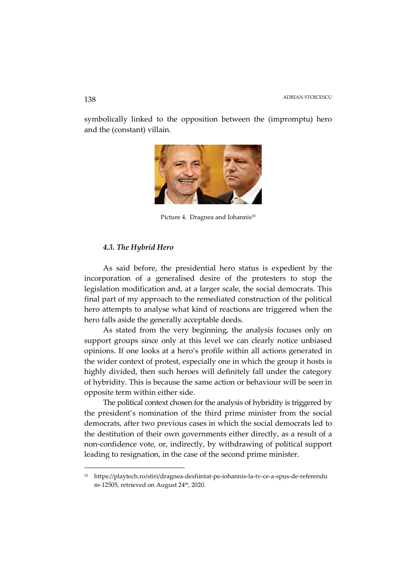symbolically linked to the opposition between the (impromptu) hero and the (constant) villain.



Picture 4. Dragnea and Iohannis<sup>10</sup>

### *4.3. The Hybrid Hero*

As said before, the presidential hero status is expedient by the incorporation of a generalised desire of the protesters to stop the legislation modification and, at a larger scale, the social democrats. This final part of my approach to the remediated construction of the political hero attempts to analyse what kind of reactions are triggered when the hero falls aside the generally acceptable deeds.

As stated from the very beginning, the analysis focuses only on support groups since only at this level we can clearly notice unbiased opinions. If one looks at a hero's profile within all actions generated in the wider context of protest, especially one in which the group it hosts is highly divided, then such heroes will definitely fall under the category of hybridity. This is because the same action or behaviour will be seen in opposite term within either side.

The political context chosen for the analysis of hybridity is triggered by the president's nomination of the third prime minister from the social democrats, after two previous cases in which the social democrats led to the destitution of their own governments either directly, as a result of a non-confidence vote, or, indirectly, by withdrawing of political support leading to resignation, in the case of the second prime minister.

<sup>10</sup> https://playtech.ro/stiri/dragnea-desfiintat-pe-iohannis-la-tv-ce-a-spus-de-referendu m-12505, retrieved on August 24th, 2020.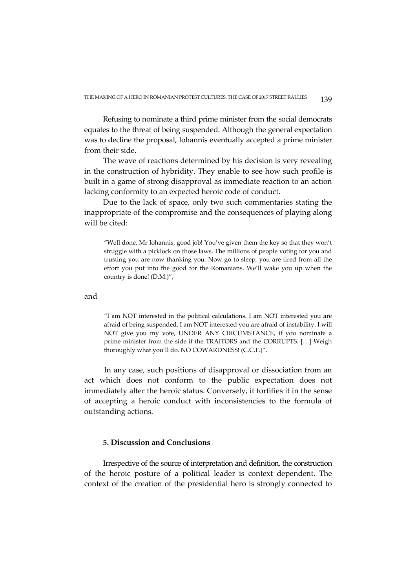Refusing to nominate a third prime minister from the social democrats equates to the threat of being suspended. Although the general expectation was to decline the proposal, Iohannis eventually accepted a prime minister from their side.

The wave of reactions determined by his decision is very revealing in the construction of hybridity. They enable to see how such profile is built in a game of strong disapproval as immediate reaction to an action lacking conformity to an expected heroic code of conduct.

Due to the lack of space, only two such commentaries stating the inappropriate of the compromise and the consequences of playing along will be cited:

"Well done, Mr Iohannis, good job! You've given them the key so that they won't struggle with a picklock on those laws. The millions of people voting for you and trusting you are now thanking you. Now go to sleep, you are tired from all the effort you put into the good for the Romanians. We'll wake you up when the country is done! (D.M.)",

and

"I am NOT interested in the political calculations. I am NOT interested you are afraid of being suspended. I am NOT interested you are afraid of instability. I will NOT give you my vote, UNDER ANY CIRCUMSTANCE, if you nominate a prime minister from the side if the TRAITORS and the CORRUPTS. […] Weigh thoroughly what you'll do. NO COWARDNESS! (C.C.F.)".

In any case, such positions of disapproval or dissociation from an act which does not conform to the public expectation does not immediately alter the heroic status. Conversely, it fortifies it in the sense of accepting a heroic conduct with inconsistencies to the formula of outstanding actions.

# **5. Discussion and Conclusions**

Irrespective of the source of interpretation and definition, the construction of the heroic posture of a political leader is context dependent. The context of the creation of the presidential hero is strongly connected to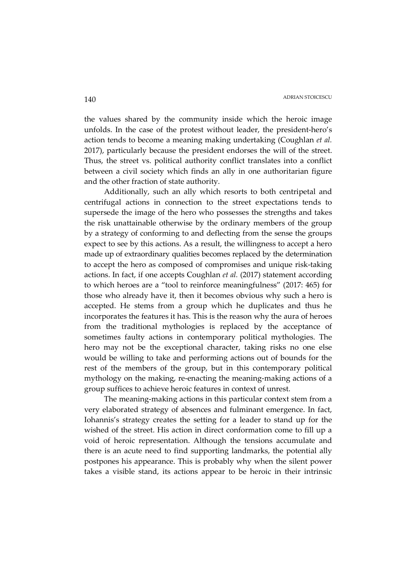the values shared by the community inside which the heroic image unfolds. In the case of the protest without leader, the president-hero's action tends to become a meaning making undertaking (Coughlan *et al.*  2017), particularly because the president endorses the will of the street. Thus, the street vs. political authority conflict translates into a conflict between a civil society which finds an ally in one authoritarian figure and the other fraction of state authority.

Additionally, such an ally which resorts to both centripetal and centrifugal actions in connection to the street expectations tends to supersede the image of the hero who possesses the strengths and takes the risk unattainable otherwise by the ordinary members of the group by a strategy of conforming to and deflecting from the sense the groups expect to see by this actions. As a result, the willingness to accept a hero made up of extraordinary qualities becomes replaced by the determination to accept the hero as composed of compromises and unique risk-taking actions. In fact, if one accepts Coughlan *et al.* (2017) statement according to which heroes are a "tool to reinforce meaningfulness" (2017: 465) for those who already have it, then it becomes obvious why such a hero is accepted. He stems from a group which he duplicates and thus he incorporates the features it has. This is the reason why the aura of heroes from the traditional mythologies is replaced by the acceptance of sometimes faulty actions in contemporary political mythologies. The hero may not be the exceptional character, taking risks no one else would be willing to take and performing actions out of bounds for the rest of the members of the group, but in this contemporary political mythology on the making, re-enacting the meaning-making actions of a group suffices to achieve heroic features in context of unrest.

The meaning-making actions in this particular context stem from a very elaborated strategy of absences and fulminant emergence. In fact, Iohannis's strategy creates the setting for a leader to stand up for the wished of the street. His action in direct conformation come to fill up a void of heroic representation. Although the tensions accumulate and there is an acute need to find supporting landmarks, the potential ally postpones his appearance. This is probably why when the silent power takes a visible stand, its actions appear to be heroic in their intrinsic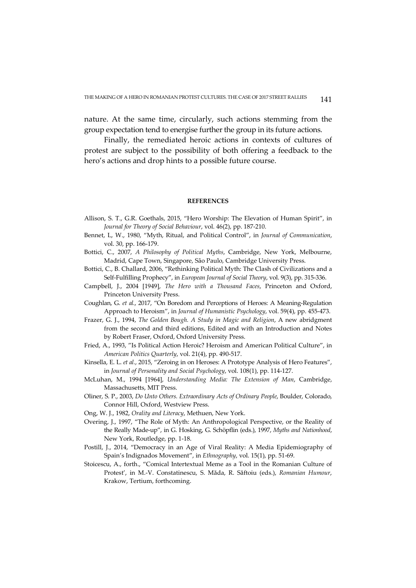nature. At the same time, circularly, such actions stemming from the group expectation tend to energise further the group in its future actions.

Finally, the remediated heroic actions in contexts of cultures of protest are subject to the possibility of both offering a feedback to the hero's actions and drop hints to a possible future course.

#### **REFERENCES**

- Allison, S. T., G.R. Goethals, 2015, "Hero Worship: The Elevation of Human Spirit", in *Journal for Theory of Social Behaviour*, vol. 46(2), pp. 187-210.
- Bennet, L, W., 1980, "Myth, Ritual, and Political Control", in *Journal of Communication*, vol. 30, pp. 166-179.
- Bottici, C., 2007, *A Philosophy of Political Myths*, Cambridge, New York, Melbourne, Madrid, Cape Town, Singapore, São Paulo, Cambridge University Press.
- Bottici, C., B. Challard, 2006, "Rethinking Political Myth: The Clash of Civilizations and a Self-Fulfilling Prophecy", in *European Journal of Social Theory*, vol. 9(3), pp. 315-336.
- Campbell, J., 2004 [1949], *The Hero with a Thousand Faces*, Princeton and Oxford, Princeton University Press.
- Coughlan, G. *et al.*, 2017, "On Boredom and Perceptions of Heroes: A Meaning-Regulation Approach to Heroism", in *Journal of Humanistic Psychology*, vol. 59(4), pp. 455-473.
- Frazer, G. J., 1994, *The Golden Bough. A Study in Magic and Religion*, A new abridgment from the second and third editions, Edited and with an Introduction and Notes by Robert Fraser, Oxford, Oxford University Press.
- Fried, A., 1993, "Is Political Action Heroic? Heroism and American Political Culture", in *American Politics Quarterly*, vol. 21(4), pp. 490-517.
- Kinsella, E. L. *et al.*, 2015, "Zeroing in on Heroses: A Prototype Analysis of Hero Features", in *Journal of Personality and Social Psychology*, vol. 108(1), pp. 114-127.
- McLuhan, M., 1994 [1964], *Understanding Media: The Extension of Man*, Cambridge, Massachusetts, MIT Press.
- Oliner, S. P., 2003, *Do Unto Others. Extraordinary Acts of Ordinary People*, Boulder, Colorado, Connor Hill, Oxford, Westview Press.
- Ong, W. J., 1982, *Orality and Literacy*, Methuen, New York.
- Overing, J., 1997, "The Role of Myth: An Anthropological Perspective, or the Reality of the Really Made-up", in G. Hosking, G. Schöpflin (eds.), 1997, *Myths and Nationhood*, New York, Routledge, pp. 1-18.
- Postill, J., 2014, "Democracy in an Age of Viral Reality: A Media Epidemiography of Spain's Indignados Movement", in *Ethnography*, vol. 15(1), pp. 51-69.
- Stoicescu, A., forth., "Comical Intertextual Meme as a Tool in the Romanian Culture of Protest', in M.-V. Constatinescu, S. Măda, R. Săftoiu (eds.), *Romanian Humour*, Krakow, Tertium, forthcoming.